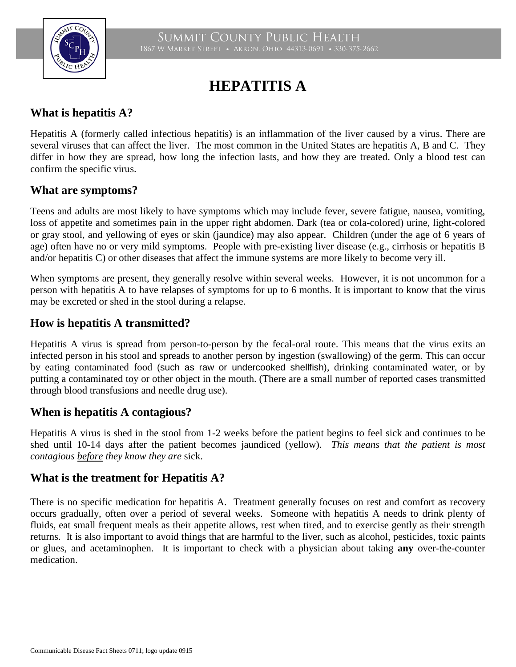

# **HEPATITIS A**

# **What is hepatitis A?**

Hepatitis A (formerly called infectious hepatitis) is an inflammation of the liver caused by a virus. There are several viruses that can affect the liver. The most common in the United States are hepatitis A, B and C. They differ in how they are spread, how long the infection lasts, and how they are treated. Only a blood test can confirm the specific virus.

### **What are symptoms?**

Teens and adults are most likely to have symptoms which may include fever, severe fatigue, nausea, vomiting, loss of appetite and sometimes pain in the upper right abdomen. Dark (tea or cola-colored) urine, light-colored or gray stool, and yellowing of eyes or skin (jaundice) may also appear. Children (under the age of 6 years of age) often have no or very mild symptoms. People with pre-existing liver disease (e.g., cirrhosis or hepatitis B and/or hepatitis C) or other diseases that affect the immune systems are more likely to become very ill.

When symptoms are present, they generally resolve within several weeks. However, it is not uncommon for a person with hepatitis A to have relapses of symptoms for up to 6 months. It is important to know that the virus may be excreted or shed in the stool during a relapse.

# **How is hepatitis A transmitted?**

Hepatitis A virus is spread from person-to-person by the fecal-oral route. This means that the virus exits an infected person in his stool and spreads to another person by ingestion (swallowing) of the germ. This can occur by eating contaminated food (such as raw or undercooked shellfish), drinking contaminated water, or by putting a contaminated toy or other object in the mouth. (There are a small number of reported cases transmitted through blood transfusions and needle drug use).

### **When is hepatitis A contagious?**

Hepatitis A virus is shed in the stool from 1-2 weeks before the patient begins to feel sick and continues to be shed until 10-14 days after the patient becomes jaundiced (yellow). *This means that the patient is most contagious before they know they are* sick.

### **What is the treatment for Hepatitis A?**

There is no specific medication for hepatitis A. Treatment generally focuses on rest and comfort as recovery occurs gradually, often over a period of several weeks. Someone with hepatitis A needs to drink plenty of fluids, eat small frequent meals as their appetite allows, rest when tired, and to exercise gently as their strength returns. It is also important to avoid things that are harmful to the liver, such as alcohol, pesticides, toxic paints or glues, and acetaminophen. It is important to check with a physician about taking **any** over-the-counter medication.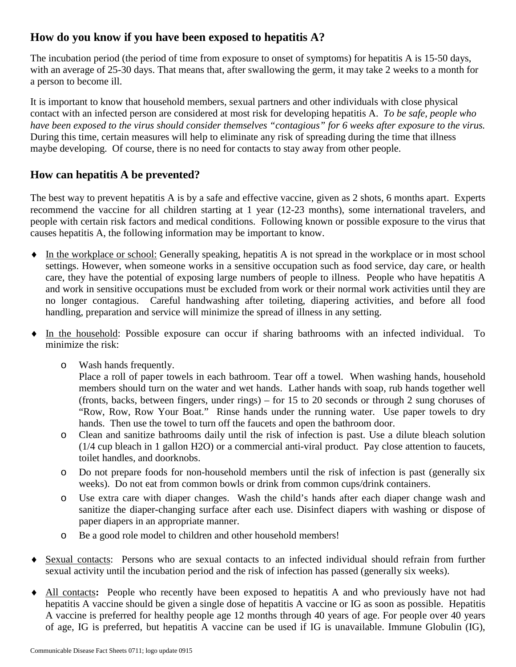# **How do you know if you have been exposed to hepatitis A?**

The incubation period (the period of time from exposure to onset of symptoms) for hepatitis A is 15-50 days, with an average of 25-30 days. That means that, after swallowing the germ, it may take 2 weeks to a month for a person to become ill.

It is important to know that household members, sexual partners and other individuals with close physical contact with an infected person are considered at most risk for developing hepatitis A. *To be safe, people who have been exposed to the virus should consider themselves "contagious" for 6 weeks after exposure to the virus.* During this time, certain measures will help to eliminate any risk of spreading during the time that illness maybe developing. Of course, there is no need for contacts to stay away from other people.

### **How can hepatitis A be prevented?**

The best way to prevent hepatitis A is by a safe and effective vaccine, given as 2 shots, 6 months apart. Experts recommend the vaccine for all children starting at 1 year (12-23 months), some international travelers, and people with certain risk factors and medical conditions. Following known or possible exposure to the virus that causes hepatitis A, the following information may be important to know.

- ♦ In the workplace or school: Generally speaking, hepatitis A is not spread in the workplace or in most school settings. However, when someone works in a sensitive occupation such as food service, day care, or health care, they have the potential of exposing large numbers of people to illness. People who have hepatitis A and work in sensitive occupations must be excluded from work or their normal work activities until they are no longer contagious. Careful handwashing after toileting, diapering activities, and before all food handling, preparation and service will minimize the spread of illness in any setting.
- ♦ In the household: Possible exposure can occur if sharing bathrooms with an infected individual. To minimize the risk:
	- o Wash hands frequently.

Place a roll of paper towels in each bathroom. Tear off a towel. When washing hands, household members should turn on the water and wet hands. Lather hands with soap, rub hands together well (fronts, backs, between fingers, under rings) – for 15 to 20 seconds or through 2 sung choruses of "Row, Row, Row Your Boat." Rinse hands under the running water. Use paper towels to dry hands. Then use the towel to turn off the faucets and open the bathroom door.

- o Clean and sanitize bathrooms daily until the risk of infection is past. Use a dilute bleach solution (1/4 cup bleach in 1 gallon H2O) or a commercial anti-viral product. Pay close attention to faucets, toilet handles, and doorknobs.
- o Do not prepare foods for non-household members until the risk of infection is past (generally six weeks). Do not eat from common bowls or drink from common cups/drink containers.
- o Use extra care with diaper changes. Wash the child's hands after each diaper change wash and sanitize the diaper-changing surface after each use. Disinfect diapers with washing or dispose of paper diapers in an appropriate manner.
- o Be a good role model to children and other household members!
- Sexual contacts: Persons who are sexual contacts to an infected individual should refrain from further sexual activity until the incubation period and the risk of infection has passed (generally six weeks).
- ♦ All contacts**:** People who recently have been exposed to hepatitis A and who previously have not had hepatitis A vaccine should be given a single dose of hepatitis A vaccine or IG as soon as possible. Hepatitis A vaccine is preferred for healthy people age 12 months through 40 years of age. For people over 40 years of age, IG is preferred, but hepatitis A vaccine can be used if IG is unavailable. Immune Globulin (IG),